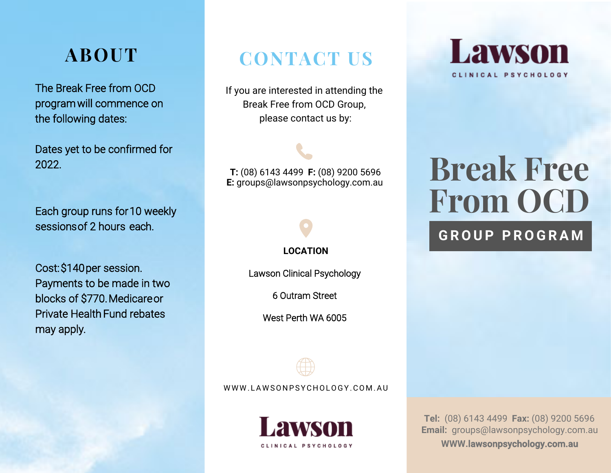# **ABOUT**

The Break Free from OCD program will commence on the following dates:

Dates yet to be confirmed for 2022.

Each group runs for 10 weekly sessions of 2 hours each.

Cost: \$140 per session. Payments to be made in two blocks of \$770. Medicare or Private Health Fund rebates may apply.

# **CONTACT US**

If you are interested in attending the Break Free from OCD Group, please contact us by:

**T:** (08) 6143 4499 **F:** (08) 9200 5696 **E:** groups@lawsonpsychology.com.au

 **LOCATION**

Lawson Clinical Psychology

6 Outram Street

West Perth WA 6005



WWW.LAWSONPSYCHOLOGY.COM.AU



**Lawson** CLINICAL PSYCHOLOGY

# **Break Free From OCD**

#### **G R O U P P R O G R A M**

**Tel:** (08) 6143 4499 **Fax:** (08) 9200 5696 **Email:**  groups@lawsonpsychology.com.au **WWW.**lawsonpsychology.com.au